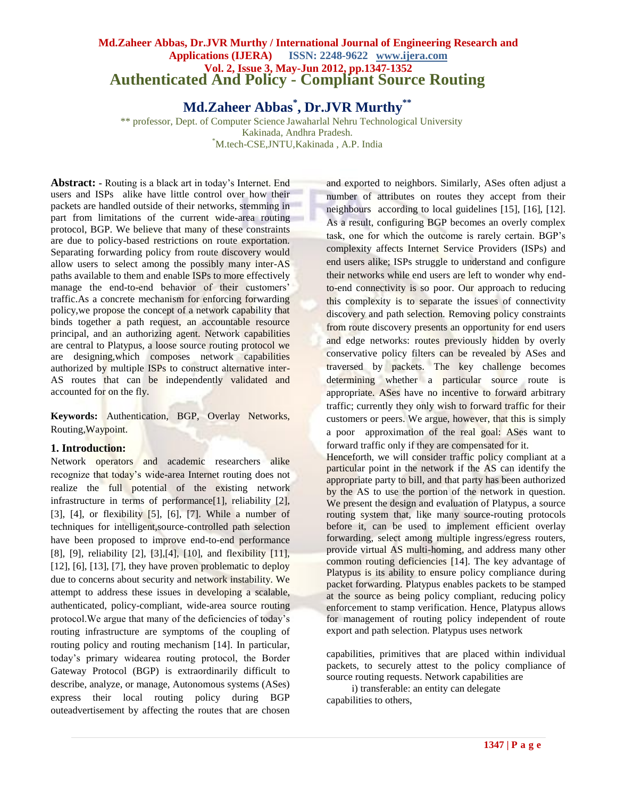# **Md.Zaheer Abbas, Dr.JVR Murthy / International Journal of Engineering Research and Applications (IJERA) ISSN: 2248-9622 www.ijera.com Vol. 2, Issue 3, May-Jun 2012, pp.1347-1352 Authenticated And Policy - Compliant Source Routing**

**Md.Zaheer Abbas\* , Dr.JVR Murthy\*\*** 

 \*\* professor, Dept. of Computer Science Jawaharlal Nehru Technological University Kakinada, Andhra Pradesh. \*M.tech-CSE,JNTU,Kakinada , A.P. India

**Abstract: -** Routing is a black art in today's Internet. End users and ISPs alike have little control over how their packets are handled outside of their networks, stemming in part from limitations of the current wide-area routing protocol, BGP. We believe that many of these constraints are due to policy-based restrictions on route exportation. Separating forwarding policy from route discovery would allow users to select among the possibly many inter-AS paths available to them and enable ISPs to more effectively manage the end-to-end behavior of their customers' traffic.As a concrete mechanism for enforcing forwarding policy,we propose the concept of a network capability that binds together a path request, an accountable resource principal, and an authorizing agent. Network capabilities are central to Platypus, a loose source routing protocol we are designing,which composes network capabilities authorized by multiple ISPs to construct alternative inter-AS routes that can be independently validated and accounted for on the fly.

**Keywords:** Authentication, BGP, Overlay Networks, Routing,Waypoint.

# **1. Introduction:**

Network operators and academic researchers alike recognize that today's wide-area Internet routing does not realize the full potential of the existing network infrastructure in terms of performance[1], reliability [2], [3],  $[4]$ , or flexibility  $[5]$ ,  $[6]$ ,  $[7]$ . While a number of techniques for intelligent,source-controlled path selection have been proposed to improve end-to-end performance [8], [9], reliability [2], [3],[4], [10], and flexibility [11],  $[12]$ ,  $[6]$ ,  $[13]$ ,  $[7]$ , they have proven problematic to deploy due to concerns about security and network instability. We attempt to address these issues in developing a scalable, authenticated, policy-compliant, wide-area source routing protocol.We argue that many of the deficiencies of today's routing infrastructure are symptoms of the coupling of routing policy and routing mechanism [14]. In particular, today's primary widearea routing protocol, the Border Gateway Protocol (BGP) is extraordinarily difficult to describe, analyze, or manage, Autonomous systems (ASes) express their local routing policy during BGP outeadvertisement by affecting the routes that are chosen

and exported to neighbors. Similarly, ASes often adjust a number of attributes on routes they accept from their neighbours according to local guidelines [15], [16], [12]. As a result, configuring BGP becomes an overly complex task, one for which the outcome is rarely certain. BGP's complexity affects Internet Service Providers (ISPs) and end users alike; ISPs struggle to understand and configure their networks while end users are left to wonder why endto-end connectivity is so poor. Our approach to reducing this complexity is to separate the issues of connectivity discovery and path selection. Removing policy constraints from route discovery presents an opportunity for end users and edge networks: routes previously hidden by overly conservative policy filters can be revealed by ASes and traversed by packets. The key challenge becomes determining whether a particular source route is appropriate. ASes have no incentive to forward arbitrary traffic; currently they only wish to forward traffic for their customers or peers. We argue, however, that this is simply a poor approximation of the real goal: ASes want to forward traffic only if they are compensated for it.

Henceforth, we will consider traffic policy compliant at a particular point in the network if the AS can identify the appropriate party to bill, and that party has been authorized by the AS to use the portion of the network in question. We present the design and evaluation of Platypus, a source routing system that, like many source-routing protocols before it, can be used to implement efficient overlay forwarding, select among multiple ingress/egress routers, provide virtual AS multi-homing, and address many other common routing deficiencies [14]. The key advantage of Platypus is its ability to ensure policy compliance during packet forwarding. Platypus enables packets to be stamped at the source as being policy compliant, reducing policy enforcement to stamp verification. Hence, Platypus allows for management of routing policy independent of route export and path selection. Platypus uses network

capabilities, primitives that are placed within individual packets, to securely attest to the policy compliance of source routing requests. Network capabilities are

 i) transferable: an entity can delegate capabilities to others,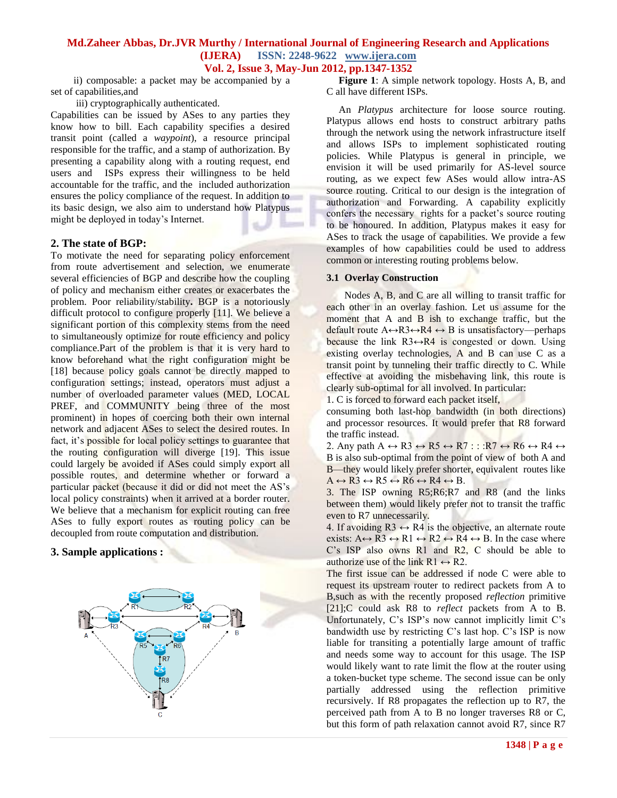ii) composable: a packet may be accompanied by a set of capabilities,and

iii) cryptographically authenticated.

Capabilities can be issued by ASes to any parties they know how to bill. Each capability specifies a desired transit point (called a *waypoint*), a resource principal responsible for the traffic, and a stamp of authorization. By presenting a capability along with a routing request, end users and ISPs express their willingness to be held accountable for the traffic, and the included authorization ensures the policy compliance of the request. In addition to its basic design, we also aim to understand how Platypus might be deployed in today's Internet.

#### **2. The state of BGP:**

To motivate the need for separating policy enforcement from route advertisement and selection, we enumerate several efficiencies of BGP and describe how the coupling of policy and mechanism either creates or exacerbates the problem. Poor reliability/stability**.** BGP is a notoriously difficult protocol to configure properly [11]. We believe a significant portion of this complexity stems from the need to simultaneously optimize for route efficiency and policy compliance.Part of the problem is that it is very hard to know beforehand what the right configuration might be [18] because policy goals cannot be directly mapped to configuration settings; instead, operators must adjust a number of overloaded parameter values (MED, LOCAL PREF, and COMMUNITY being three of the most prominent) in hopes of coercing both their own internal network and adjacent ASes to select the desired routes. In fact, it's possible for local policy settings to guarantee that the routing configuration will diverge [19]. This issue could largely be avoided if ASes could simply export all possible routes, and determine whether or forward a particular packet (because it did or did not meet the AS's local policy constraints) when it arrived at a border router. We believe that a mechanism for explicit routing can free ASes to fully export routes as routing policy can be decoupled from route computation and distribution.

### **3. Sample applications :**



**Figure 1**: A simple network topology. Hosts A, B, and C all have different ISPs.

An *Platypus* architecture for loose source routing. Platypus allows end hosts to construct arbitrary paths through the network using the network infrastructure itself and allows ISPs to implement sophisticated routing policies. While Platypus is general in principle, we envision it will be used primarily for AS-level source routing, as we expect few ASes would allow intra-AS source routing. Critical to our design is the integration of authorization and Forwarding. A capability explicitly confers the necessary rights for a packet's source routing to be honoured. In addition, Platypus makes it easy for ASes to track the usage of capabilities. We provide a few examples of how capabilities could be used to address common or interesting routing problems below.

#### **3.1 Overlay Construction**

Nodes A, B, and C are all willing to transit traffic for each other in an overlay fashion. Let us assume for the moment that A and B ish to exchange traffic, but the default route  $A \leftrightarrow R3 \leftrightarrow R4 \leftrightarrow B$  is unsatisfactory—perhaps because the link  $R3 \leftrightarrow R4$  is congested or down. Using existing overlay technologies, A and B can use C as a transit point by tunneling their traffic directly to C. While effective at avoiding the misbehaving link, this route is clearly sub-optimal for all involved. In particular:

1. C is forced to forward each packet itself,

consuming both last-hop bandwidth (in both directions) and processor resources. It would prefer that R8 forward the traffic instead.

2. Any path A  $\leftrightarrow$  R3  $\leftrightarrow$  R5  $\leftrightarrow$  R7 : ::R7  $\leftrightarrow$  R6  $\leftrightarrow$  R4  $\leftrightarrow$ B is also sub-optimal from the point of view of both A and B—they would likely prefer shorter, equivalent routes like  $A \leftrightarrow R3 \leftrightarrow R5 \leftrightarrow R6 \leftrightarrow R4 \leftrightarrow B$ .

3. The ISP owning R5;R6;R7 and R8 (and the links between them) would likely prefer not to transit the traffic even to R7 unnecessarily.

4. If avoiding  $R3 \leftrightarrow R4$  is the objective, an alternate route exists:  $A \leftrightarrow R3 \leftrightarrow R1 \leftrightarrow R2 \leftrightarrow R4 \leftrightarrow B$ . In the case where C's ISP also owns R1 and R2, C should be able to authorize use of the link  $R1 \leftrightarrow R2$ .

The first issue can be addressed if node C were able to request its upstream router to redirect packets from A to B,such as with the recently proposed *reflection* primitive [21];C could ask R8 to *reflect* packets from A to B. Unfortunately, C's ISP's now cannot implicitly limit C's bandwidth use by restricting C's last hop. C's ISP is now liable for transiting a potentially large amount of traffic and needs some way to account for this usage. The ISP would likely want to rate limit the flow at the router using a token-bucket type scheme. The second issue can be only partially addressed using the reflection primitive recursively. If R8 propagates the reflection up to R7, the perceived path from A to B no longer traverses R8 or C, but this form of path relaxation cannot avoid R7, since R7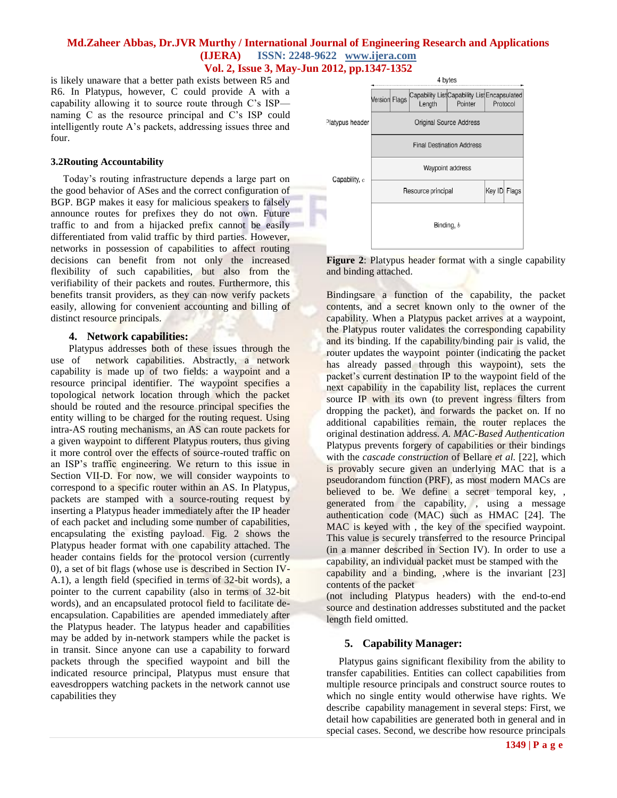is likely unaware that a better path exists between R5 and R6. In Platypus, however, C could provide A with a capability allowing it to source route through C's ISP naming C as the resource principal and C's ISP could intelligently route A's packets, addressing issues three and four.

#### **3.2Routing Accountability**

Today's routing infrastructure depends a large part on the good behavior of ASes and the correct configuration of BGP. BGP makes it easy for malicious speakers to falsely announce routes for prefixes they do not own. Future traffic to and from a hijacked prefix cannot be easily differentiated from valid traffic by third parties. However, networks in possession of capabilities to affect routing decisions can benefit from not only the increased flexibility of such capabilities, but also from the verifiability of their packets and routes. Furthermore, this benefits transit providers, as they can now verify packets easily, allowing for convenient accounting and billing of distinct resource principals.

#### **4. Network capabilities:**

Platypus addresses both of these issues through the use of network capabilities. Abstractly, a network capability is made up of two fields: a waypoint and a resource principal identifier. The waypoint specifies a topological network location through which the packet should be routed and the resource principal specifies the entity willing to be charged for the routing request. Using intra-AS routing mechanisms, an AS can route packets for a given waypoint to different Platypus routers, thus giving it more control over the effects of source-routed traffic on an ISP's traffic engineering. We return to this issue in Section VII-D. For now, we will consider waypoints to correspond to a specific router within an AS. In Platypus, packets are stamped with a source-routing request by inserting a Platypus header immediately after the IP header of each packet and including some number of capabilities, encapsulating the existing payload. Fig. 2 shows the Platypus header format with one capability attached. The header contains fields for the protocol version (currently 0), a set of bit flags (whose use is described in Section IV-A.1), a length field (specified in terms of 32-bit words), a pointer to the current capability (also in terms of 32-bit words), and an encapsulated protocol field to facilitate deencapsulation. Capabilities are apended immediately after the Platypus header. The latypus header and capabilities may be added by in-network stampers while the packet is in transit. Since anyone can use a capability to forward packets through the specified waypoint and bill the indicated resource principal, Platypus must ensure that eavesdroppers watching packets in the network cannot use capabilities they



**Figure 2**: Platypus header format with a single capability and binding attached.

Bindingsare a function of the capability, the packet contents, and a secret known only to the owner of the capability. When a Platypus packet arrives at a waypoint, the Platypus router validates the corresponding capability and its binding. If the capability/binding pair is valid, the router updates the waypoint pointer (indicating the packet has already passed through this waypoint), sets the packet's current destination IP to the waypoint field of the next capability in the capability list, replaces the current source IP with its own (to prevent ingress filters from dropping the packet), and forwards the packet on. If no additional capabilities remain, the router replaces the original destination address. *A. MAC-Based Authentication* Platypus prevents forgery of capabilities or their bindings with the *cascade construction* of Bellare *et al.* [22], which is provably secure given an underlying MAC that is a pseudorandom function (PRF), as most modern MACs are believed to be. We define a secret temporal key, , generated from the capability, , using a message authentication code (MAC) such as HMAC [24]. The MAC is keyed with , the key of the specified waypoint. This value is securely transferred to the resource Principal (in a manner described in Section IV). In order to use a capability, an individual packet must be stamped with the capability and a binding, ,where is the invariant [23] contents of the packet

(not including Platypus headers) with the end-to-end source and destination addresses substituted and the packet length field omitted.

### **5. Capability Manager:**

Platypus gains significant flexibility from the ability to transfer capabilities. Entities can collect capabilities from multiple resource principals and construct source routes to which no single entity would otherwise have rights. We describe capability management in several steps: First, we detail how capabilities are generated both in general and in special cases. Second, we describe how resource principals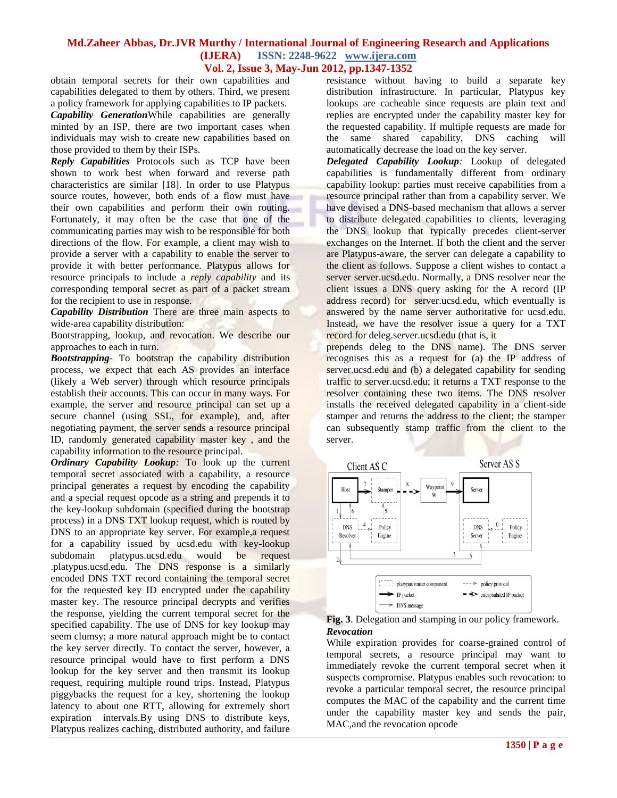obtain temporal secrets for their own capabilities and capabilities delegated to them by others. Third, we present a policy framework for applying capabilities to IP packets.

*Capability Generation*While capabilities are generally minted by an ISP, there are two important cases when individuals may wish to create new capabilities based on those provided to them by their ISPs.

*Reply Capabilities* Protocols such as TCP have been shown to work best when forward and reverse path characteristics are similar [18]. In order to use Platypus source routes, however, both ends of a flow must have their own capabilities and perform their own routing. Fortunately, it may often be the case that one of the communicating parties may wish to be responsible for both directions of the flow. For example, a client may wish to provide a server with a capability to enable the server to provide it with better performance. Platypus allows for resource principals to include a *reply capability* and its corresponding temporal secret as part of a packet stream for the recipient to use in response.

*Capability Distribution* There are three main aspects to wide-area capability distribution:

Bootstrapping, lookup, and revocation. We describe our approaches to each in turn.

*Bootstrapping-* To bootstrap the capability distribution process, we expect that each AS provides an interface (likely a Web server) through which resource principals establish their accounts. This can occur in many ways. For example, the server and resource principal can set up a secure channel (using SSL, for example), and, after negotiating payment, the server sends a resource principal ID, randomly generated capability master key , and the capability information to the resource principal.

*Ordinary Capability Lookup:* To look up the current temporal secret associated with a capability, a resource principal generates a request by encoding the capability and a special request opcode as a string and prepends it to the key-lookup subdomain (specified during the bootstrap process) in a DNS TXT lookup request, which is routed by DNS to an appropriate key server. For example,a request for a capability issued by ucsd.edu with key-lookup subdomain platypus.ucsd.edu would be request .platypus.ucsd.edu. The DNS response is a similarly encoded DNS TXT record containing the temporal secret for the requested key ID encrypted under the capability master key. The resource principal decrypts and verifies the response, yielding the current temporal secret for the specified capability. The use of DNS for key lookup may seem clumsy; a more natural approach might be to contact the key server directly. To contact the server, however, a resource principal would have to first perform a DNS lookup for the key server and then transmit its lookup request, requiring multiple round trips. Instead, Platypus piggybacks the request for a key, shortening the lookup latency to about one RTT, allowing for extremely short expiration intervals.By using DNS to distribute keys, Platypus realizes caching, distributed authority, and failure

resistance without having to build a separate key distribution infrastructure. In particular, Platypus key lookups are cacheable since requests are plain text and replies are encrypted under the capability master key for the requested capability. If multiple requests are made for the same shared capability, DNS caching will automatically decrease the load on the key server.

*Delegated Capability Lookup:* Lookup of delegated capabilities is fundamentally different from ordinary capability lookup: parties must receive capabilities from a resource principal rather than from a capability server. We have devised a DNS-based mechanism that allows a server to distribute delegated capabilities to clients, leveraging the DNS lookup that typically precedes client-server exchanges on the Internet. If both the client and the server are Platypus-aware, the server can delegate a capability to the client as follows. Suppose a client wishes to contact a server server.ucsd.edu. Normally, a DNS resolver near the client issues a DNS query asking for the A record (IP address record) for server.ucsd.edu, which eventually is answered by the name server authoritative for ucsd.edu. Instead, we have the resolver issue a query for a TXT record for deleg.server.ucsd.edu (that is, it

prepends deleg to the DNS name). The DNS server recognises this as a request for (a) the IP address of server.ucsd.edu and (b) a delegated capability for sending traffic to server.ucsd.edu; it returns a TXT response to the resolver containing these two items. The DNS resolver installs the received delegated capability in a client-side stamper and returns the address to the client; the stamper can subsequently stamp traffic from the client to the server.





While expiration provides for coarse-grained control of temporal secrets, a resource principal may want to immediately revoke the current temporal secret when it suspects compromise. Platypus enables such revocation: to revoke a particular temporal secret, the resource principal computes the MAC of the capability and the current time under the capability master key and sends the pair, MAC,and the revocation opcode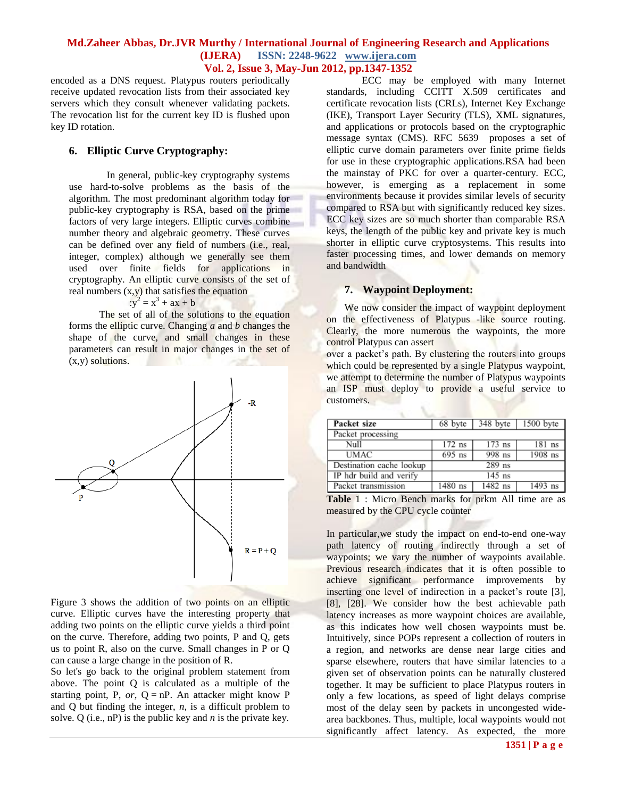encoded as a DNS request. Platypus routers periodically receive updated revocation lists from their associated key servers which they consult whenever validating packets. The revocation list for the current key ID is flushed upon key ID rotation.

### **6. Elliptic Curve Cryptography:**

In general, public-key cryptography systems use hard-to-solve problems as the basis of the algorithm. The most predominant algorithm today for public-key cryptography is RSA, based on the prime factors of very large integers. Elliptic curves combine number theory and algebraic geometry. These curves can be defined over any field of numbers (i.e., real, integer, complex) although we generally see them used over finite fields for applications in cryptography. An elliptic curve consists of the set of real numbers  $(x,y)$  that satisfies the equation

 $: y^2 = x^3 + ax + b$ 

The set of all of the solutions to the equation forms the elliptic curve. Changing *a* and *b* changes the shape of the curve, and small changes in these parameters can result in major changes in the set of (x,y) solutions.



Figure 3 shows the addition of two points on an elliptic curve. Elliptic curves have the interesting property that adding two points on the elliptic curve yields a third point on the curve. Therefore, adding two points, P and Q, gets us to point R, also on the curve. Small changes in P or Q can cause a large change in the position of R.

So let's go back to the original problem statement from above. The point Q is calculated as a multiple of the starting point, P,  $or$ , Q = nP. An attacker might know P and Q but finding the integer, *n*, is a difficult problem to solve. Q (i.e., nP) is the public key and *n* is the private key.

 ECC may be employed with many Internet standards, including CCITT X.509 certificates and certificate revocation lists (CRLs), Internet Key Exchange (IKE), Transport Layer Security (TLS), XML signatures, and applications or protocols based on the cryptographic message syntax (CMS). RFC 5639 proposes a set of elliptic curve domain parameters over finite prime fields for use in these cryptographic applications.RSA had been the mainstay of PKC for over a quarter-century. ECC, however, is emerging as a replacement in some environments because it provides similar levels of security compared to RSA but with significantly reduced key sizes. ECC key sizes are so much shorter than comparable RSA keys, the length of the public key and private key is much shorter in elliptic curve cryptosystems. This results into faster processing times, and lower demands on memory and bandwidth

### **7. Waypoint Deployment:**

We now consider the impact of waypoint deployment on the effectiveness of Platypus -like source routing. Clearly, the more numerous the waypoints, the more control Platypus can assert

over a packet's path. By clustering the routers into groups which could be represented by a single Platypus waypoint, we attempt to determine the number of Platypus waypoints an ISP must deploy to provide a useful service to customers.

| Packet size              |          | 68 byte $\vert$ 348 byte | $1500$ byte |
|--------------------------|----------|--------------------------|-------------|
| Packet processing        |          |                          |             |
| Null                     | $172$ ns | $173$ ns                 | 181 ns      |
| <b>UMAC</b>              | 695 ns   | 998 ns                   | 1908 ns     |
| Destination cache lookup | $289$ ns |                          |             |
| IP hdr build and verify  | 145 ns   |                          |             |
| Packet transmission      | 1480 ns  | 1482 ns                  | $1493$ ns   |

**Table** 1 : Micro Bench marks for prkm All time are as measured by the CPU cycle counter

In particular,we study the impact on end-to-end one-way path latency of routing indirectly through a set of waypoints; we vary the number of waypoints available. Previous research indicates that it is often possible to achieve significant performance improvements by inserting one level of indirection in a packet's route [3], [8], [28]. We consider how the best achievable path latency increases as more waypoint choices are available, as this indicates how well chosen waypoints must be. Intuitively, since POPs represent a collection of routers in a region, and networks are dense near large cities and sparse elsewhere, routers that have similar latencies to a given set of observation points can be naturally clustered together. It may be sufficient to place Platypus routers in only a few locations, as speed of light delays comprise most of the delay seen by packets in uncongested widearea backbones. Thus, multiple, local waypoints would not significantly affect latency. As expected, the more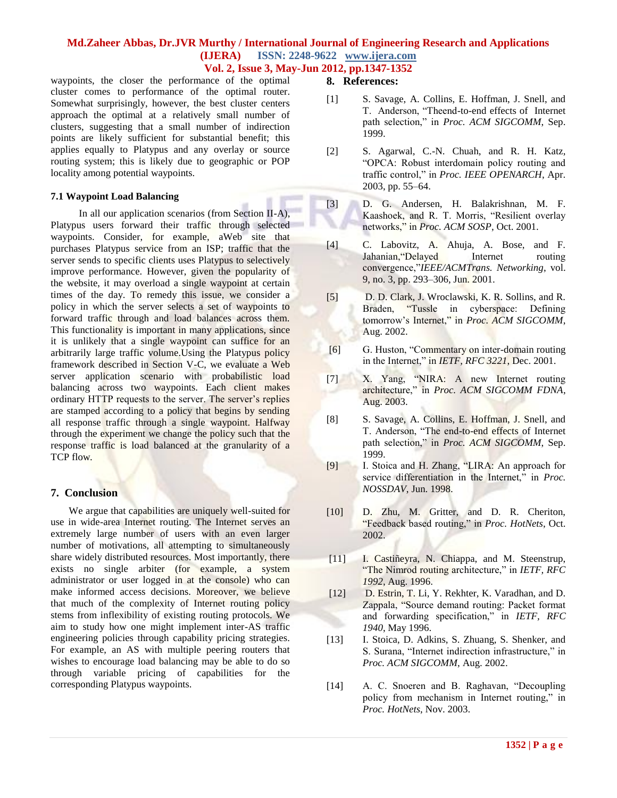waypoints, the closer the performance of the optimal cluster comes to performance of the optimal router. Somewhat surprisingly, however, the best cluster centers approach the optimal at a relatively small number of clusters, suggesting that a small number of indirection points are likely sufficient for substantial benefit; this applies equally to Platypus and any overlay or source routing system; this is likely due to geographic or POP locality among potential waypoints.

#### **7.1 Waypoint Load Balancing**

 In all our application scenarios (from Section II-A), Platypus users forward their traffic through selected waypoints. Consider, for example, aWeb site that purchases Platypus service from an ISP; traffic that the server sends to specific clients uses Platypus to selectively improve performance. However, given the popularity of the website, it may overload a single waypoint at certain times of the day. To remedy this issue, we consider a policy in which the server selects a set of waypoints to forward traffic through and load balances across them. This functionality is important in many applications, since it is unlikely that a single waypoint can suffice for an arbitrarily large traffic volume.Using the Platypus policy framework described in Section V-C, we evaluate a Web server application scenario with probabilistic load balancing across two waypoints. Each client makes ordinary HTTP requests to the server. The server's replies are stamped according to a policy that begins by sending all response traffic through a single waypoint. Halfway through the experiment we change the policy such that the response traffic is load balanced at the granularity of a TCP flow.

### **7. Conclusion**

We argue that capabilities are uniquely well-suited for use in wide-area Internet routing. The Internet serves an extremely large number of users with an even larger number of motivations, all attempting to simultaneously share widely distributed resources. Most importantly, there exists no single arbiter (for example, a system administrator or user logged in at the console) who can make informed access decisions. Moreover, we believe that much of the complexity of Internet routing policy stems from inflexibility of existing routing protocols. We aim to study how one might implement inter-AS traffic engineering policies through capability pricing strategies. For example, an AS with multiple peering routers that wishes to encourage load balancing may be able to do so through variable pricing of capabilities for the corresponding Platypus waypoints.

#### **8. References:**

- [1] S. Savage, A. Collins, E. Hoffman, J. Snell, and T. Anderson, "Theend-to-end effects of Internet path selection," in *Proc. ACM SIGCOMM*, Sep. 1999.
- [2] S. Agarwal, C.-N. Chuah, and R. H. Katz, ―OPCA: Robust interdomain policy routing and traffic control," in *Proc. IEEE OPENARCH*, Apr. 2003, pp. 55–64.
- [3] D. G. Andersen, H. Balakrishnan, M. F. Kaashoek, and R. T. Morris, "Resilient overlay networks," in *Proc. ACM SOSP*, Oct. 2001.
- [4] C. Labovitz, A. Ahuja, A. Bose, and F. Jahanian, "Delayed Internet routing convergence,"*IEEE/ACMTrans. Networking*, vol. 9, no. 3, pp. 293–306, Jun. 2001.
- [5] D. D. Clark, J. Wroclawski, K. R. Sollins, and R. Braden, "Tussle in cyberspace: Defining tomorrow's Internet," in *Proc. ACM SIGCOMM*, Aug. 2002.
- [6] G. Huston, "Commentary on inter-domain routing in the Internet," in *IETF*, *RFC* 3221, Dec. 2001.
- [7] X. Yang, "NIRA: A new Internet routing architecture," in *Proc. ACM SIGCOMM FDNA*, Aug. 2003.
- [8] S. Savage, A. Collins, E. Hoffman, J. Snell, and T. Anderson, "The end-to-end effects of Internet path selection," in *Proc. ACM SIGCOMM*, Sep. 1999.
- [9] I. Stoica and H. Zhang, "LIRA: An approach for service differentiation in the Internet," in *Proc. NOSSDAV*, Jun. 1998.
- [10] D. Zhu, M. Gritter, and D. R. Cheriton, ―Feedback based routing,‖ in *Proc. HotNets*, Oct. 2002.
- [11] I. Castiñeyra, N. Chiappa, and M. Steenstrup, ―The Nimrod routing architecture,‖ in *IETF, RFC 1992*, Aug. 1996.
- [12] D. Estrin, T. Li, Y. Rekhter, K. Varadhan, and D. Zappala, "Source demand routing: Packet format and forwarding specification," in *IETF*, *RFC 1940*, May 1996.
- [13] I. Stoica, D. Adkins, S. Zhuang, S. Shenker, and S. Surana, "Internet indirection infrastructure," in *Proc. ACM SIGCOMM*, Aug. 2002.
- [14] A. C. Snoeren and B. Raghavan, "Decoupling policy from mechanism in Internet routing," in *Proc. HotNets*, Nov. 2003.